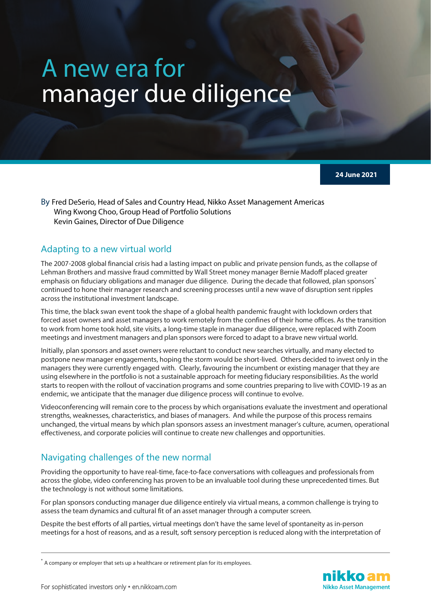## A new era for manager due diligence

**24 June 2021**

By Fred DeSerio, Head of Sales and Country Head, Nikko Asset Management Americas Wing Kwong Choo, Group Head of Portfolio Solutions Kevin Gaines, Director of Due Diligence

## Adapting to a new virtual world

The 2007-2008 global financial crisis had a lasting impact on public and private pension funds, as the collapse of Lehman Brothers and massive fraud committed by Wall Street money manager Bernie Madoff placed greater emphasis on fiduciary obligations and manager due diligence. During the decade that followed, plan sponsors<sup>\*</sup> continued to hone their manager research and screening processes until a new wave of disruption sent ripples across the institutional investment landscape.

This time, the black swan event took the shape of a global health pandemic fraught with lockdown orders that forced asset owners and asset managers to work remotely from the confines of their home offices. As the transition to work from home took hold, site visits, a long-time staple in manager due diligence, were replaced with Zoom meetings and investment managers and plan sponsors were forced to adapt to a brave new virtual world.

Initially, plan sponsors and asset owners were reluctant to conduct new searches virtually, and many elected to postpone new manager engagements, hoping the storm would be short-lived. Others decided to invest only in the managers they were currently engaged with. Clearly, favouring the incumbent or existing manager that they are using elsewhere in the portfolio is not a sustainable approach for meeting fiduciary responsibilities. As the world starts to reopen with the rollout of vaccination programs and some countries preparing to live with COVID-19 as an endemic, we anticipate that the manager due diligence process will continue to evolve.

Videoconferencing will remain core to the process by which organisations evaluate the investment and operational strengths, weaknesses, characteristics, and biases of managers. And while the purpose of this process remains unchanged, the virtual means by which plan sponsors assess an investment manager's culture, acumen, operational effectiveness, and corporate policies will continue to create new challenges and opportunities.

## Navigating challenges of the new normal

Providing the opportunity to have real-time, face-to-face conversations with colleagues and professionals from across the globe, video conferencing has proven to be an invaluable tool during these unprecedented times. But the technology is not without some limitations.

For plan sponsors conducting manager due diligence entirely via virtual means, a common challenge is trying to assess the team dynamics and cultural fit of an asset manager through a computer screen.

Despite the best efforts of all parties, virtual meetings don't have the same level of spontaneity as in-person meetings for a host of reasons, and as a result, soft sensory perception is reduced along with the interpretation of



<span id="page-0-0"></span> $^*$  A company or employer that sets up a healthcare or retirement plan for its employees.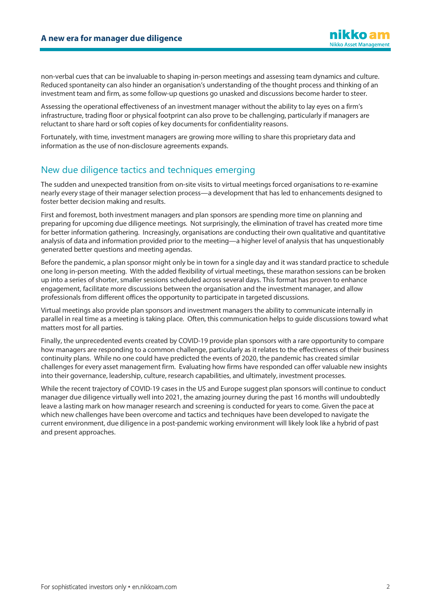non-verbal cues that can be invaluable to shaping in-person meetings and assessing team dynamics and culture. Reduced spontaneity can also hinder an organisation's understanding of the thought process and thinking of an investment team and firm, as some follow-up questions go unasked and discussions become harder to steer.

Assessing the operational effectiveness of an investment manager without the ability to lay eyes on a firm's infrastructure, trading floor or physical footprint can also prove to be challenging, particularly if managers are reluctant to share hard or soft copies of key documents for confidentiality reasons.

Fortunately, with time, investment managers are growing more willing to share this proprietary data and information as the use of non-disclosure agreements expands.

## New due diligence tactics and techniques emerging

The sudden and unexpected transition from on-site visits to virtual meetings forced organisations to re-examine nearly every stage of their manager selection process—a development that has led to enhancements designed to foster better decision making and results.

First and foremost, both investment managers and plan sponsors are spending more time on planning and preparing for upcoming due diligence meetings. Not surprisingly, the elimination of travel has created more time for better information gathering. Increasingly, organisations are conducting their own qualitative and quantitative analysis of data and information provided prior to the meeting—a higher level of analysis that has unquestionably generated better questions and meeting agendas.

Before the pandemic, a plan sponsor might only be in town for a single day and it was standard practice to schedule one long in-person meeting. With the added flexibility of virtual meetings, these marathon sessions can be broken up into a series of shorter, smaller sessions scheduled across several days. This format has proven to enhance engagement, facilitate more discussions between the organisation and the investment manager, and allow professionals from different offices the opportunity to participate in targeted discussions.

Virtual meetings also provide plan sponsors and investment managers the ability to communicate internally in parallel in real time as a meeting is taking place. Often, this communication helps to guide discussions toward what matters most for all parties.

Finally, the unprecedented events created by COVID-19 provide plan sponsors with a rare opportunity to compare how managers are responding to a common challenge, particularly as it relates to the effectiveness of their business continuity plans. While no one could have predicted the events of 2020, the pandemic has created similar challenges for every asset management firm. Evaluating how firms have responded can offer valuable new insights into their governance, leadership, culture, research capabilities, and ultimately, investment processes.

While the recent trajectory of COVID-19 cases in the US and Europe suggest plan sponsors will continue to conduct manager due diligence virtually well into 2021, the amazing journey during the past 16 months will undoubtedly leave a lasting mark on how manager research and screening is conducted for years to come. Given the pace at which new challenges have been overcome and tactics and techniques have been developed to navigate the current environment, due diligence in a post-pandemic working environment will likely look like a hybrid of past and present approaches.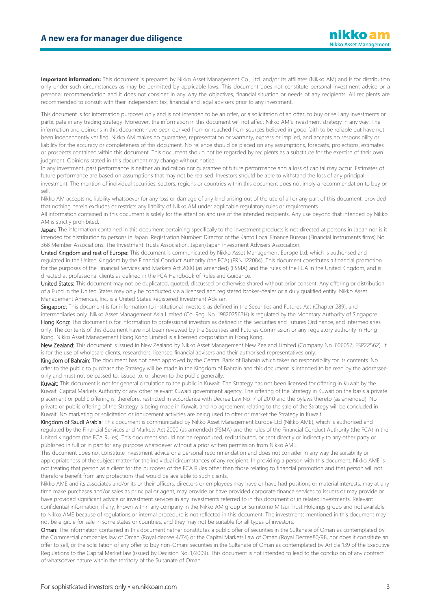**Important information:** This document is prepared by Nikko Asset Management Co., Ltd. and/or its affiliates (Nikko AM) and is for distribution only under such circumstances as may be permitted by applicable laws. This document does not constitute personal investment advice or a personal recommendation and it does not consider in any way the objectives, financial situation or needs of any recipients. All recipients are recommended to consult with their independent tax, financial and legal advisers prior to any investment.

This document is for information purposes only and is not intended to be an offer, or a solicitation of an offer, to buy or sell any investments or participate in any trading strategy. Moreover, the information in this document will not affect Nikko AM's investment strategy in any way. The information and opinions in this document have been derived from or reached from sources believed in good faith to be reliable but have not been independently verified. Nikko AM makes no guarantee, representation or warranty, express or implied, and accepts no responsibility or liability for the accuracy or completeness of this document. No reliance should be placed on any assumptions, forecasts, projections, estimates or prospects contained within this document. This document should not be regarded by recipients as a substitute for the exercise of their own judgment. Opinions stated in this document may change without notice.

In any investment, past performance is neither an indication nor guarantee of future performance and a loss of capital may occur. Estimates of future performance are based on assumptions that may not be realised. Investors should be able to withstand the loss of any principal investment. The mention of individual securities, sectors, regions or countries within this document does not imply a recommendation to buy or sell.

Nikko AM accepts no liability whatsoever for any loss or damage of any kind arising out of the use of all or any part of this document, provided that nothing herein excludes or restricts any liability of Nikko AM under applicable regulatory rules or requirements.

All information contained in this document is solely for the attention and use of the intended recipients. Any use beyond that intended by Nikko AM is strictly prohibited.

Japan: The information contained in this document pertaining specifically to the investment products is not directed at persons in Japan nor is it intended for distribution to persons in Japan. Registration Number: Director of the Kanto Local Finance Bureau (Financial Instruments firms) No. 368 Member Associations: The Investment Trusts Association, Japan/Japan Investment Advisers Association.

United Kingdom and rest of Europe: This document is communicated by Nikko Asset Management Europe Ltd, which is authorised and regulated in the United Kingdom by the Financial Conduct Authority (the FCA) (FRN 122084). This document constitutes a financial promotion for the purposes of the Financial Services and Markets Act 2000 (as amended) (FSMA) and the rules of the FCA in the United Kingdom, and is directed at professional clients as defined in the FCA Handbook of Rules and Guidance.

United States: This document may not be duplicated, quoted, discussed or otherwise shared without prior consent. Any offering or distribution of a Fund in the United States may only be conducted via a licensed and registered broker-dealer or a duly qualified entity. Nikko Asset Management Americas, Inc. is a United States Registered Investment Adviser.

Singapore: This document is for information to institutional investors as defined in the Securities and Futures Act (Chapter 289), and intermediaries only. Nikko Asset Management Asia Limited (Co. Reg. No. 198202562H) is regulated by the Monetary Authority of Singapore. Hong Kong: This document is for information to professional investors as defined in the Securities and Futures Ordinance, and intermediaries only. The contents of this document have not been reviewed by the Securities and Futures Commission or any regulatory authority in Hong Kong. Nikko Asset Management Hong Kong Limited is a licensed corporation in Hong Kong.

New Zealand: This document is issued in New Zealand by Nikko Asset Management New Zealand Limited (Company No. 606057, FSP22562). It is for the use of wholesale clients, researchers, licensed financial advisers and their authorised representatives only.

Kingdom of Bahrain: The document has not been approved by the Central Bank of Bahrain which takes no responsibility for its contents. No offer to the public to purchase the Strategy will be made in the Kingdom of Bahrain and this document is intended to be read by the addressee only and must not be passed to, issued to, or shown to the public generally.

Kuwait: This document is not for general circulation to the public in Kuwait. The Strategy has not been licensed for offering in Kuwait by the Kuwaiti Capital Markets Authority or any other relevant Kuwaiti government agency. The offering of the Strategy in Kuwait on the basis a private placement or public offering is, therefore, restricted in accordance with Decree Law No. 7 of 2010 and the bylaws thereto (as amended). No private or public offering of the Strategy is being made in Kuwait, and no agreement relating to the sale of the Strategy will be concluded in Kuwait. No marketing or solicitation or inducement activities are being used to offer or market the Strategy in Kuwait.

Kingdom of Saudi Arabia: This document is communicated by Nikko Asset Management Europe Ltd (Nikko AME), which is authorised and regulated by the Financial Services and Markets Act 2000 (as amended) (FSMA) and the rules of the Financial Conduct Authority (the FCA) in the United Kingdom (the FCA Rules). This document should not be reproduced, redistributed, or sent directly or indirectly to any other party or published in full or in part for any purpose whatsoever without a prior written permission from Nikko AME.

This document does not constitute investment advice or a personal recommendation and does not consider in any way the suitability or appropriateness of the subject matter for the individual circumstances of any recipient. In providing a person with this document, Nikko AME is not treating that person as a client for the purposes of the FCA Rules other than those relating to financial promotion and that person will not therefore benefit from any protections that would be available to such clients.

Nikko AME and its associates and/or its or their officers, directors or employees may have or have had positions or material interests, may at any time make purchases and/or sales as principal or agent, may provide or have provided corporate finance services to issuers or may provide or have provided significant advice or investment services in any investments referred to in this document or in related investments. Relevant confidential information, if any, known within any company in the Nikko AM group or Sumitomo Mitsui Trust Holdings group and not available to Nikko AME because of regulations or internal procedure is not reflected in this document. The investments mentioned in this document may not be eligible for sale in some states or countries, and they may not be suitable for all types of investors.

Oman: The information contained in this document nether constitutes a public offer of securities in the Sultanate of Oman as contemplated by the Commercial companies law of Oman (Royal decree 4/74) or the Capital Markets Law of Oman (Royal Decree80/98, nor does it constitute an offer to sell, or the solicitation of any offer to buy non-Omani securities in the Sultanate of Oman as contemplated by Article 139 of the Executive Regulations to the Capital Market law (issued by Decision No. 1/2009). This document is not intended to lead to the conclusion of any contract of whatsoever nature within the territory of the Sultanate of Oman.